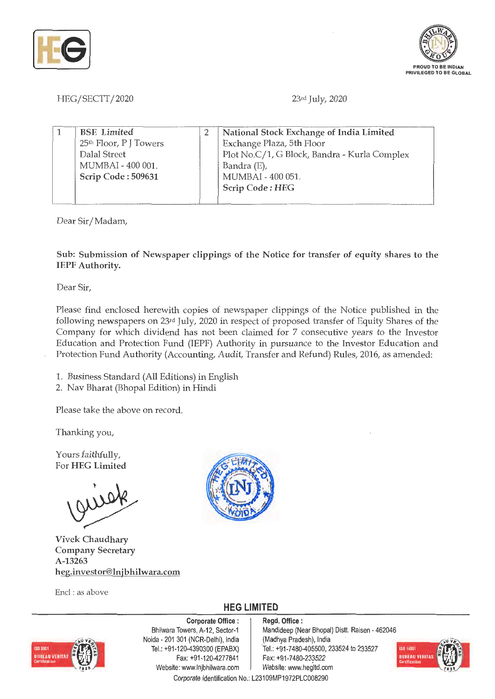



## HEG/SECTT/2020

23rd July, 2020

| <b>BSE</b> Limited                 | National Stock Exchange of India Limited     |
|------------------------------------|----------------------------------------------|
| 25 <sup>th</sup> Floor, P J Towers | Exchange Plaza, 5th Floor                    |
| Dalal Street                       | Plot No.C/1, G Block, Bandra - Kurla Complex |
| MUMBAI - 400 001.                  | Bandra (E),                                  |
| Scrip Code: 509631                 | MUMBAI - 400 051.                            |
|                                    | Scrip Code: HEG                              |
|                                    |                                              |

Dear Sir/ Madam,

**Sub: Submission of Newspaper clippings of the Notice for transfer of equity shares to the IEPF Authority.** 

Dear Sir,

Please find enclosed herewith copies of newspaper clippings of the Notice published in the following newspapers on 23rd July, 2020 in respect of proposed transfer of Equity Shares of the Company for which dividend has not been claimed for 7 consecutive years to the Investor Education and Protection Fund (IEPF) Authority in pursuance to the Investor Education and Protection Fund Authority (Accounting, Audit, Transfer and Refund) Rules, 2016, as amended:

1. Business Standard (All Editions) in English

2. Nav Bharat (Bhopal Edition) in Hindi

Please take the above on record.

Thanking you,

Yours faithfully, For **HEG Limited** 

**Vivek Chaudhary Company Secretary A-13263 heg.investor@lnjbhilwara.com** 

Encl : as above



**HEG LIMITED** 



**Corporate Office** : Bhilwara Towers, A-12, Sector-1 Naida - 201 301 (NCR-Delhi), India Tel.: +91-120-4390300 (EPABX) Fax: +91-120-4277841 Website: www.lnjbhilwara.com | Website: www.hegltd.com

**Regd. Office** : Mandideep (Near Bhopal) Distt. Raisen - 462046 (Madhya Pradesh), India Tel.: +91-7480-405500, 233524 to 233527 Fax: +91-7480-233522



Corporate Identification No.: L23109MP1972PLC008290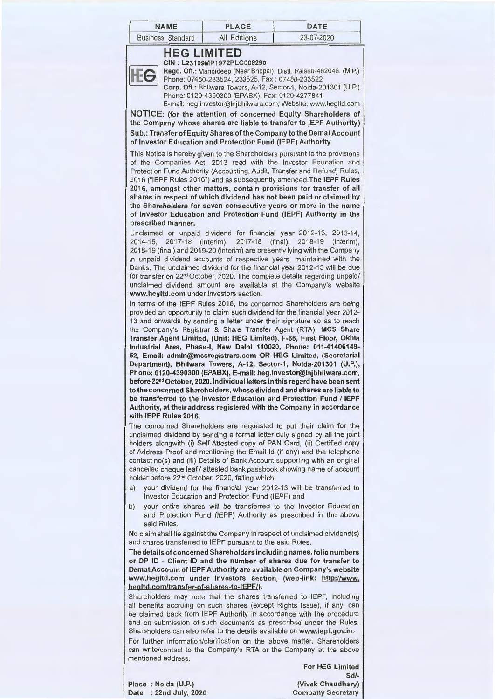| <b>NAME</b>              | PLACE               | <b>DATF</b> |
|--------------------------|---------------------|-------------|
| <b>Business Standard</b> | <b>All Editions</b> | 23-07-2020  |

## **HEG LIMITED**

**CIN** : **L23109MP1972PLC008290 Regd. Off.:** Mandideep (Near Bhopal), Distt. Raisen-462046, (M.P.) Phone: 07480-233524,233525, Fax: 07480-233522 **Corp. Off.:** Bhilwara Towers, A-12, Sector-1, Noida-201301 (U.P.) Phone: 0120-4390300 (EPABX), Fax: 0120-4277841 E-mail: heg.investor@lnjbhilwara.com; Website: www.hegltd.com

**NOTICE: (for the attention of concerned Equity Shareholders of**  the Company whose shares are liable to transfer to IEPF Authority) **Sub.: Transfer of Equity Shares of the Company to the DematAccount of Investor Education and Protection Fund (IEPF) Authority** 

This Notice is hereby given to the Shareholders pursuant to the provisions of the Companies Act, 2013 read with the Investor Education and Protection Fund Authority (Accounting, Audit, Transfer and Refund) Rules, 2016 ("IEPF Rules 2016") and as subsequently amended.The IEPF Rules **2016, amongst other matters, contain provisions for transfer of all shares in respect of which dividend has not been paid or claimed by the Shareholders for seven consecutive years or more in the name of Investor Education and Protection Fund (IEPF) Authority in the prescribed manner.** 

Unclaimed or unpaid dividend for financial year 2012-13, 2013-14, 2014-15, 2017-18 (interim), 2017-18 (final), 2018-19 (interim), 2018-19 (final) and 2019-20 (interim) are presently lying with the Company in unpaid dividend accounts of respective years, maintained with the Banks. The unclaimed dividend for the financial year 2012-13 will be due for transfer on 22<sup>nd</sup> October, 2020. The complete details regarding unpaid/ unclaimed dividend amount are available at the Company's website **www.hegltd.com** under Investors section.

In terms of the IEPF Rules 2016, the concerned Shareholders are being provided an opportunity to claim such dividend for the financial year 2012- 13 and onwards by sending a letter under their signature so as to reach the Company's Registrar & Share Transfer Agent (RTA), **MCS Share Transfer Agent Limited, (Unit: HEG Limited), F-65, First Floor, Okhla Industrial Area, Phase-I, New Delhi 110020, Phone: 011-41406149- 52, Email: admin@mcsregistrars.com OR HEG Limited, (Secretarial Department), Bhilwara Towers, A-12, Sector-1, Noida-201301 (U.P.), Phone: 0120-4390300 (EPABX), E-mail: heg.investor@lnjbhilwara.com, before 22nd October, 2020. Individual letters in this regard have been sent to the concerned Shareholders, whose dividend and shares are liable to be transferred to the Investor Education and Protection Fund** / **IEPF Authority, at their address registered with the Company in accordance with IEPF Rules 2016.** 

The concerned Shareholders are requested to put their claim for the unclaimed dividend by sending a formal letter duly signed by all the joint holders alongwith (i) Self Attested copy of PAN Card, (ii) Certified copy of Address Proof and mentioning the Email Id (if any) and the telephone contact no(s) and (iii) Details of Bank Account supporting with an original cancelled cheque leaf/ attested bank passbook showing name of account holder before 22<sup>nd</sup> October, 2020, failing which;

- a) your dividend for the financial year 2012-13 will be transferred to Investor Education and Protection Fund (IEPF) and
- b) your entire shares will be transferred to the Investor Education and Protection Fund (IEPF) Authority as prescribed in the above said Rules.

No claim shall lie against the Company in respect of unclaimed dividend(s) and shares transferred to 1EPF pursuant to the said Rules.

**The details of concerned Shareholders including names, folio numbers or DP ID** - **Client ID and the number of shares due for transfer to De mat Account of IEPF Authority are available on Company's website www.hegltd.com under Investors section, (web-link: http://www. hegltd.com/transfer-of-shares-to-lEPF/).** 

Shareholders may note that the shares transferred to IEPF, including all benefits accruing on such shares (except Rights Issue), if any, can be claimed back from IEPF Authority in accordance with the procedure and on submission of such documents as prescribed under the Rules. Shareholders can also refer to the details available on **www.iepf.gov.in.-**

For further information/clarification on the above matter, Shareholders can write/contact to the Company's RTA or the Company at the above mentioned address.

**For HEG Limited Sd/- (Vivek Chaudhary) Company Secretary** 

**Place** : **Noida (U.P.) Date** : **22nd July, 2020**